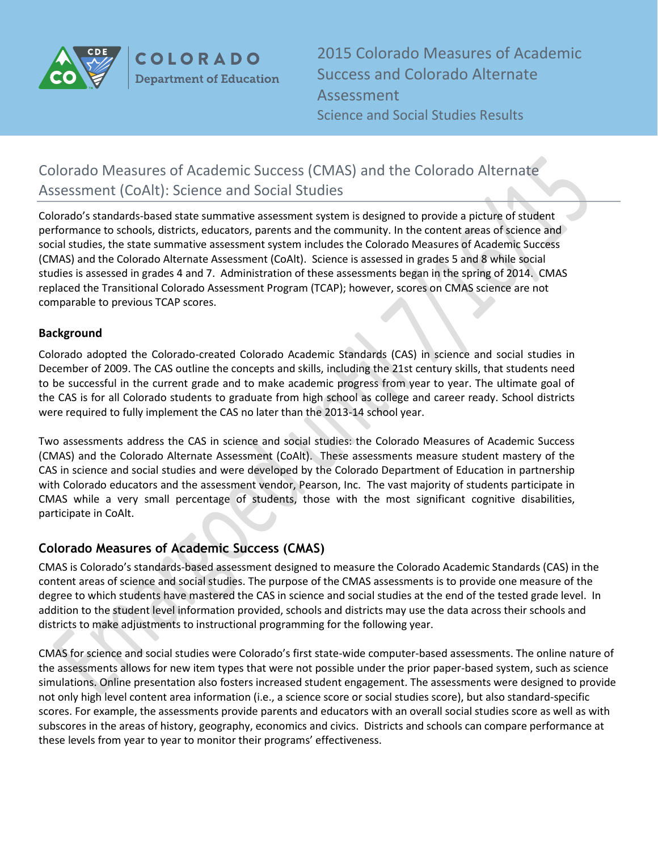

**COLORADO Department of Education** 

2015 Colorado Measures of Academic Success and Colorado Alternate Assessment Science and Social Studies Results

# Colorado Measures of Academic Success (CMAS) and the Colorado Alternate Assessment (CoAlt): Science and Social Studies

Colorado's standards-based state summative assessment system is designed to provide a picture of student performance to schools, districts, educators, parents and the community. In the content areas of science and social studies, the state summative assessment system includes the Colorado Measures of Academic Success (CMAS) and the Colorado Alternate Assessment (CoAlt). Science is assessed in grades 5 and 8 while social studies is assessed in grades 4 and 7. Administration of these assessments began in the spring of 2014. CMAS replaced the Transitional Colorado Assessment Program (TCAP); however, scores on CMAS science are not comparable to previous TCAP scores.

#### **Background**

Colorado adopted the Colorado-created Colorado Academic Standards (CAS) in [science a](http://www.cde.state.co.us/coscience/statestandards)nd [social studies i](http://www.cde.state.co.us/cosocialstudies/statestandards)n December of 2009. The CAS outline the concepts and skills, including the 21st century skills, that students need to be successful in the current grade and to make academic progress from year to year. The ultimate goal of the CAS is for all Colorado students to graduate from high school as college and career ready. School districts were required to fully implement the CAS no later than the 2013-14 school year.

Two assessments address the CAS in science and social studies: the Colorado Measures of Academic Success (CMAS) and the Colorado Alternate Assessment (CoAlt). These assessments measure student mastery of the CAS in science and social studies and were developed by the Colorado Department of Education in partnership with Colorado educators and the assessment vendor, Pearson, Inc. The vast majority of students participate in CMAS while a very small percentage of students, those with the most significant cognitive disabilities, participate in CoAlt.

### **Colorado Measures of Academic Success (CMAS)**

CMAS is Colorado's standards-based assessment designed to measure the Colorado Academic Standards (CAS) in the content areas of science and social studies. The purpose of the CMAS assessments is to provide one measure of the degree to which students have mastered the CAS in science and social studies at the end of the tested grade level. In addition to the student level information provided, schools and districts may use the data across their schools and districts to make adjustments to instructional programming for the following year.

CMAS for science and social studies were Colorado's first state-wide computer-based assessments. The online nature of the assessments allows for new item types that were not possible under the prior paper-based system, such as science simulations. Online presentation also fosters increased student engagement. The assessments were designed to provide not only high level content area information (i.e., a science score or social studies score), but also standard-specific scores. For example, the assessments provide parents and educators with an overall social studies score as well as with subscores in the areas of history, geography, economics and civics. Districts and schools can compare performance at these levels from year to year to monitor their programs' effectiveness.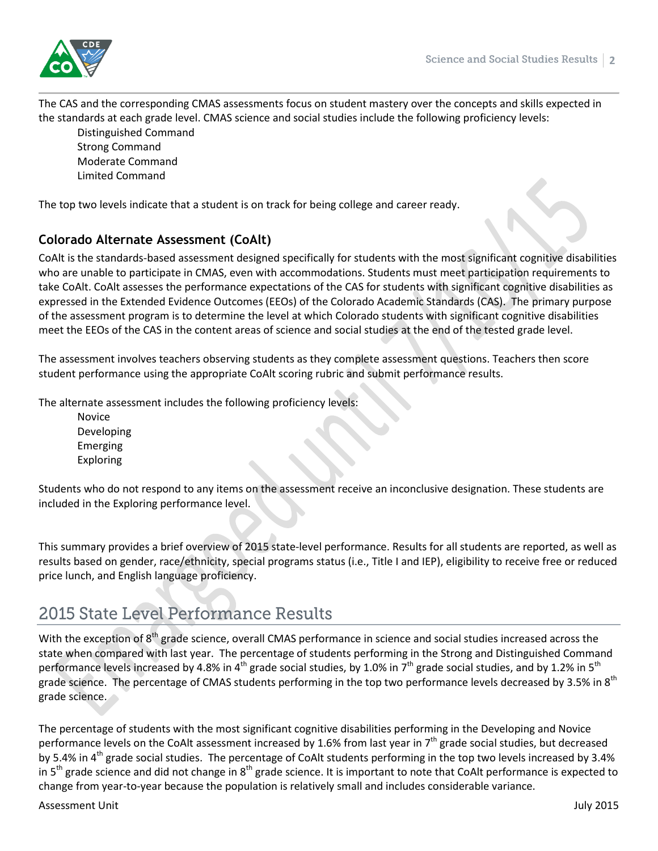The CAS and the corresponding CMAS assessments focus on student mastery over the concepts and skills expected in the standards at each grade level. CMAS science and social studies include the following proficiency levels:

Distinguished Command Strong Command Moderate Command Limited Command

The top two levels indicate that a student is on track for being college and career ready.

### **Colorado Alternate Assessment (CoAlt)**

CoAlt is the standards-based assessment designed specifically for students with the most significant cognitive disabilities who are unable to participate in CMAS, even with accommodations. Students must meet participation requirements to take CoAlt. CoAlt assesses the performance expectations of the CAS for students with significant cognitive disabilities as expressed in the Extended Evidence Outcomes (EEOs) of the Colorado Academic Standards (CAS). The primary purpose of the assessment program is to determine the level at which Colorado students with significant cognitive disabilities meet the EEOs of the CAS in the content areas of science and social studies at the end of the tested grade level.

The assessment involves teachers observing students as they complete assessment questions. Teachers then score student performance using the appropriate CoAlt scoring rubric and submit performance results.

The alternate assessment includes the following proficiency levels:

Novice Developing Emerging Exploring

Students who do not respond to any items on the assessment receive an inconclusive designation. These students are included in the Exploring performance level.

This summary provides a brief overview of 2015 state-level performance. Results for all students are reported, as well as results based on gender, race/ethnicity, special programs status (i.e., Title I and IEP), eligibility to receive free or reduced price lunch, and English language proficiency.

# 2015 State Level Performance Results

With the exception of 8<sup>th</sup> grade science, overall CMAS performance in science and social studies increased across the state when compared with last year. The percentage of students performing in the Strong and Distinguished Command performance levels increased by 4.8% in 4<sup>th</sup> grade social studies, by 1.0% in 7<sup>th</sup> grade social studies, and by 1.2% in 5<sup>th</sup> grade science. The percentage of CMAS students performing in the top two performance levels decreased by 3.5% in 8<sup>th</sup> grade science.

The percentage of students with the most significant cognitive disabilities performing in the Developing and Novice performance levels on the CoAlt assessment increased by 1.6% from last year in  $7<sup>th</sup>$  grade social studies, but decreased by 5.4% in 4<sup>th</sup> grade social studies. The percentage of CoAlt students performing in the top two levels increased by 3.4% in  $5<sup>th</sup>$  grade science and did not change in  $8<sup>th</sup>$  grade science. It is important to note that CoAlt performance is expected to change from year-to-year because the population is relatively small and includes considerable variance.

Assessment Unit July 2015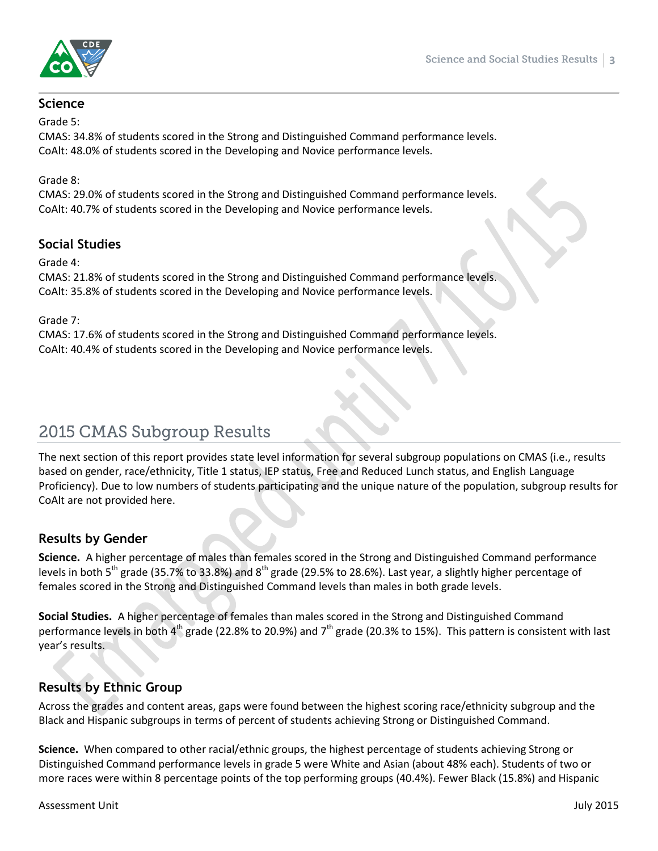

## **Science**

Grade 5:

CMAS: 34.8% of students scored in the Strong and Distinguished Command performance levels. CoAlt: 48.0% of students scored in the Developing and Novice performance levels.

Grade 8:

CMAS: 29.0% of students scored in the Strong and Distinguished Command performance levels. CoAlt: 40.7% of students scored in the Developing and Novice performance levels.

### **Social Studies**

Grade 4:

CMAS: 21.8% of students scored in the Strong and Distinguished Command performance levels. CoAlt: 35.8% of students scored in the Developing and Novice performance levels.

Grade 7:

CMAS: 17.6% of students scored in the Strong and Distinguished Command performance levels. CoAlt: 40.4% of students scored in the Developing and Novice performance levels.

# 2015 CMAS Subgroup Results

The next section of this report provides state level information for several subgroup populations on CMAS (i.e., results based on gender, race/ethnicity, Title 1 status, IEP status, Free and Reduced Lunch status, and English Language Proficiency). Due to low numbers of students participating and the unique nature of the population, subgroup results for CoAlt are not provided here.

### **Results by Gender**

**Science.** A higher percentage of males than females scored in the Strong and Distinguished Command performance levels in both  $5^{th}$  grade (35.7% to 33.8%) and  $8^{th}$  grade (29.5% to 28.6%). Last year, a slightly higher percentage of females scored in the Strong and Distinguished Command levels than males in both grade levels.

**Social Studies.** A higher percentage of females than males scored in the Strong and Distinguished Command performance levels in both  $4^{th}$  grade (22.8% to 20.9%) and  $7^{th}$  grade (20.3% to 15%). This pattern is consistent with last year's results.

# **Results by Ethnic Group**

Across the grades and content areas, gaps were found between the highest scoring race/ethnicity subgroup and the Black and Hispanic subgroups in terms of percent of students achieving Strong or Distinguished Command.

**Science.** When compared to other racial/ethnic groups, the highest percentage of students achieving Strong or Distinguished Command performance levels in grade 5 were White and Asian (about 48% each). Students of two or more races were within 8 percentage points of the top performing groups (40.4%). Fewer Black (15.8%) and Hispanic